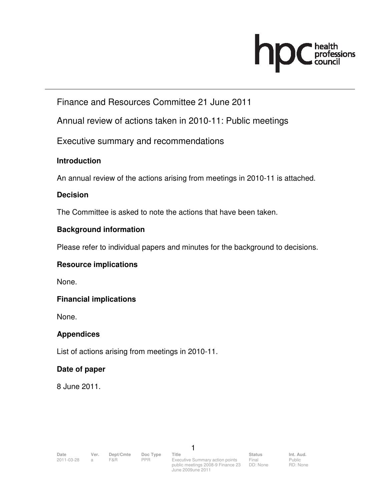# **NDC** health

# Finance and Resources Committee 21 June 2011

Annual review of actions taken in 2010-11: Public meetings

Executive summary and recommendations

## **Introduction**

An annual review of the actions arising from meetings in 2010-11 is attached.

## **Decision**

The Committee is asked to note the actions that have been taken.

#### **Background information**

Please refer to individual papers and minutes for the background to decisions.

## **Resource implications**

None.

## **Financial implications**

None.

## **Appendices**

List of actions arising from meetings in 2010-11.

## **Date of paper**

8 June 2011.

1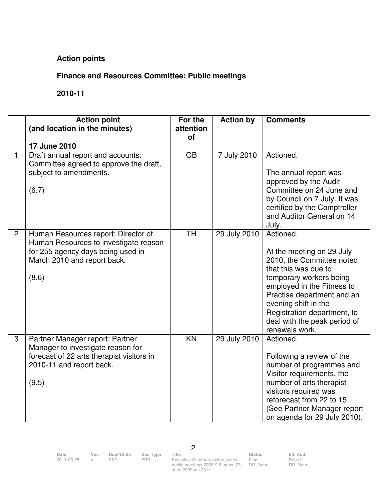## **Action points**

### **Finance and Resources Committee: Public meetings**

#### **2010-11**

|                | <b>Action point</b><br>(and location in the minutes)                                                                                                      | For the<br>attention | <b>Action by</b> | <b>Comments</b>                                                                                                                                                                                                                                                                             |
|----------------|-----------------------------------------------------------------------------------------------------------------------------------------------------------|----------------------|------------------|---------------------------------------------------------------------------------------------------------------------------------------------------------------------------------------------------------------------------------------------------------------------------------------------|
|                | 17 June 2010                                                                                                                                              | of                   |                  |                                                                                                                                                                                                                                                                                             |
| $\mathbf{1}$   | Draft annual report and accounts:<br>Committee agreed to approve the draft,<br>subject to amendments.<br>(6.7)                                            | <b>GB</b>            | 7 July 2010      | Actioned.<br>The annual report was<br>approved by the Audit<br>Committee on 24 June and<br>by Council on 7 July. It was<br>certified by the Comptroller<br>and Auditor General on 14<br>July.                                                                                               |
| $\overline{2}$ | Human Resources report: Director of<br>Human Resources to investigate reason<br>for 255 agency days being used in<br>March 2010 and report back.<br>(8.6) | <b>TH</b>            | 29 July 2010     | Actioned.<br>At the meeting on 29 July<br>2010, the Committee noted<br>that this was due to<br>temporary workers being<br>employed in the Fitness to<br>Practise department and an<br>evening shift in the<br>Registration department, to<br>deal with the peak period of<br>renewals work. |
| 3              | Partner Manager report: Partner<br>Manager to investigate reason for<br>forecast of 22 arts therapist visitors in<br>2010-11 and report back.<br>(9.5)    | KN                   | 29 July 2010     | Actioned.<br>Following a review of the<br>number of programmes and<br>Visitor requirements, the<br>number of arts therapist<br>visitors required was<br>reforecast from 22 to 15.<br>(See Partner Manager report<br>on agenda for 29 July 2010).                                            |

2

2011-03-28 a F&R PPR Executive Summary action points public meetings 2008-9 Finance 23 June 2009une 2011

Final DD: None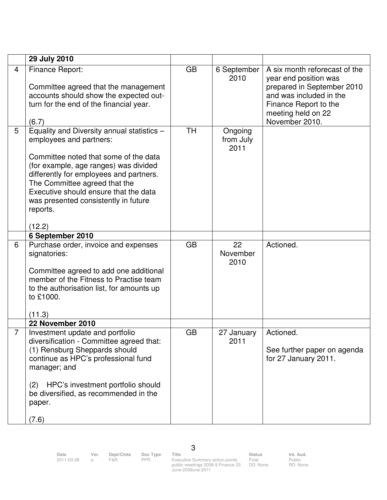|                | 29 July 2010                                                                                                                                                                                                                                                                                                                               |           |                              |                                                                                                                                                                                  |
|----------------|--------------------------------------------------------------------------------------------------------------------------------------------------------------------------------------------------------------------------------------------------------------------------------------------------------------------------------------------|-----------|------------------------------|----------------------------------------------------------------------------------------------------------------------------------------------------------------------------------|
| $\overline{4}$ | Finance Report:<br>Committee agreed that the management<br>accounts should show the expected out-<br>turn for the end of the financial year.<br>(6.7)                                                                                                                                                                                      | <b>GB</b> | 6 September<br>2010          | A six month reforecast of the<br>year end position was<br>prepared in September 2010<br>and was included in the<br>Finance Report to the<br>meeting held on 22<br>November 2010. |
| 5              | Equality and Diversity annual statistics -<br>employees and partners:<br>Committee noted that some of the data<br>(for example, age ranges) was divided<br>differently for employees and partners.<br>The Committee agreed that the<br>Executive should ensure that the data<br>was presented consistently in future<br>reports.<br>(12.2) | <b>TH</b> | Ongoing<br>from July<br>2011 |                                                                                                                                                                                  |
| 6              | 6 September 2010<br>Purchase order, invoice and expenses<br>signatories:<br>Committee agreed to add one additional<br>member of the Fitness to Practise team<br>to the authorisation list, for amounts up<br>to £1000.<br>(11.3)                                                                                                           | <b>GB</b> | 22<br>November<br>2010       | Actioned.                                                                                                                                                                        |
|                | 22 November 2010                                                                                                                                                                                                                                                                                                                           |           |                              |                                                                                                                                                                                  |
| $\overline{7}$ | Investment update and portfolio<br>diversification - Committee agreed that:<br>(1) Rensburg Sheppards should<br>continue as HPC's professional fund<br>manager; and<br>HPC's investment portfolio should<br>(2)<br>be diversified, as recommended in the<br>paper.<br>(7.6)                                                                | <b>GB</b> | 27 January<br>2011           | Actioned.<br>See further paper on agenda<br>for 27 January 2011.                                                                                                                 |

2011-03-28 a F&R PPR Executive Summary action points public meetings 2008-9 Finance 23 June 2009une 2011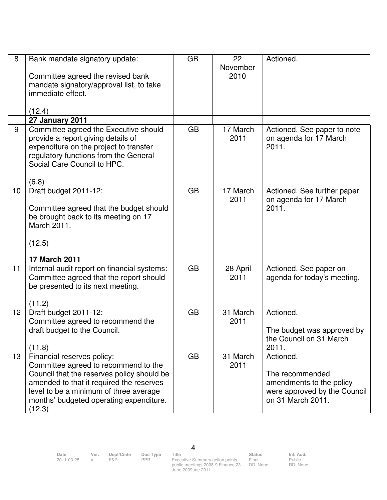| 8  | Bank mandate signatory update:<br>Committee agreed the revised bank<br>mandate signatory/approval list, to take<br>immediate effect.<br>(12.4)                                                                                                              | <b>GB</b> | 22<br>November<br>2010 | Actioned.                                                                                                     |
|----|-------------------------------------------------------------------------------------------------------------------------------------------------------------------------------------------------------------------------------------------------------------|-----------|------------------------|---------------------------------------------------------------------------------------------------------------|
|    | 27 January 2011                                                                                                                                                                                                                                             |           |                        |                                                                                                               |
| 9  | Committee agreed the Executive should<br>provide a report giving details of<br>expenditure on the project to transfer<br>regulatory functions from the General<br>Social Care Council to HPC.<br>(6.8)                                                      | <b>GB</b> | 17 March<br>2011       | Actioned. See paper to note<br>on agenda for 17 March<br>2011.                                                |
| 10 | Draft budget 2011-12:<br>Committee agreed that the budget should<br>be brought back to its meeting on 17<br>March 2011.<br>(12.5)                                                                                                                           | <b>GB</b> | 17 March<br>2011       | Actioned. See further paper<br>on agenda for 17 March<br>2011.                                                |
|    | 17 March 2011                                                                                                                                                                                                                                               |           |                        |                                                                                                               |
| 11 | Internal audit report on financial systems:<br>Committee agreed that the report should<br>be presented to its next meeting.<br>(11.2)                                                                                                                       | <b>GB</b> | 28 April<br>2011       | Actioned. See paper on<br>agenda for today's meeting.                                                         |
| 12 | Draft budget 2011-12:<br>Committee agreed to recommend the<br>draft budget to the Council.<br>(11.8)                                                                                                                                                        | <b>GB</b> | 31 March<br>2011       | Actioned.<br>The budget was approved by<br>the Council on 31 March<br>2011.                                   |
| 13 | Financial reserves policy:<br>Committee agreed to recommend to the<br>Council that the reserves policy should be<br>amended to that it required the reserves<br>level to be a minimum of three average<br>months' budgeted operating expenditure.<br>(12.3) | <b>GB</b> | 31 March<br>2011       | Actioned.<br>The recommended<br>amendments to the policy<br>were approved by the Council<br>on 31 March 2011. |

Date Ver. Dept/Cmte Doc<sup>Type</sup> Title Status Status Int. Aud.

4

2011-03-28 a F&R PPR Executive Summary action points public meetings 2008-9 Finance 23 June 2009une 2011

Final DD: None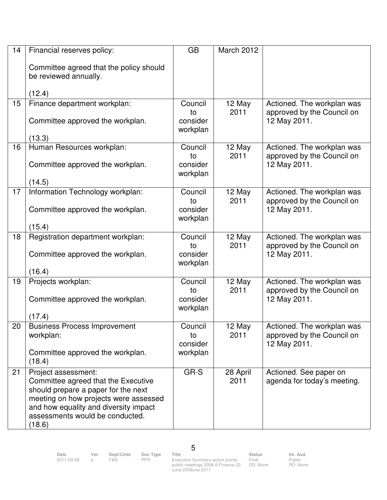| 14 | Financial reserves policy:                                                                                                                                                                                                       | <b>GB</b>                             | March 2012       |                                                                          |
|----|----------------------------------------------------------------------------------------------------------------------------------------------------------------------------------------------------------------------------------|---------------------------------------|------------------|--------------------------------------------------------------------------|
|    | Committee agreed that the policy should<br>be reviewed annually.<br>(12.4)                                                                                                                                                       |                                       |                  |                                                                          |
| 15 | Finance department workplan:                                                                                                                                                                                                     | Council                               | 12 May           | Actioned. The workplan was                                               |
|    | Committee approved the workplan.                                                                                                                                                                                                 | to<br>consider<br>workplan            | 2011             | approved by the Council on<br>12 May 2011.                               |
| 16 | (13.3)<br>Human Resources workplan:                                                                                                                                                                                              | Council                               | 12 May           |                                                                          |
|    | Committee approved the workplan.<br>(14.5)                                                                                                                                                                                       | to<br>consider<br>workplan            | 2011             | Actioned. The workplan was<br>approved by the Council on<br>12 May 2011. |
| 17 | Information Technology workplan:                                                                                                                                                                                                 | Council                               | 12 May           | Actioned. The workplan was                                               |
|    | Committee approved the workplan.                                                                                                                                                                                                 | to<br>consider<br>workplan            | 2011             | approved by the Council on<br>12 May 2011.                               |
|    | (15.4)                                                                                                                                                                                                                           |                                       |                  |                                                                          |
| 18 | Registration department workplan:<br>Committee approved the workplan.<br>(16.4)                                                                                                                                                  | Council<br>to<br>consider<br>workplan | 12 May<br>2011   | Actioned. The workplan was<br>approved by the Council on<br>12 May 2011. |
| 19 | Projects workplan:                                                                                                                                                                                                               | Council                               | 12 May           | Actioned. The workplan was                                               |
|    | Committee approved the workplan.<br>(17.4)                                                                                                                                                                                       | to<br>consider<br>workplan            | 2011             | approved by the Council on<br>12 May 2011.                               |
| 20 | <b>Business Process Improvement</b>                                                                                                                                                                                              | Council                               | 12 May           | Actioned. The workplan was                                               |
|    | workplan:<br>Committee approved the workplan.                                                                                                                                                                                    | to<br>consider<br>workplan            | 2011             | approved by the Council on<br>12 May 2011.                               |
|    | (18.4)                                                                                                                                                                                                                           |                                       |                  |                                                                          |
| 21 | Project assessment:<br>Committee agreed that the Executive<br>should prepare a paper for the next<br>meeting on how projects were assessed<br>and how equality and diversity impact<br>assessments would be conducted.<br>(18.6) | GR-S                                  | 28 April<br>2011 | Actioned. See paper on<br>agenda for today's meeting.                    |

5

2011-03-28 a F&R PPR Executive Summary action points public meetings 2008-9 Finance 23 June 2009une 2011